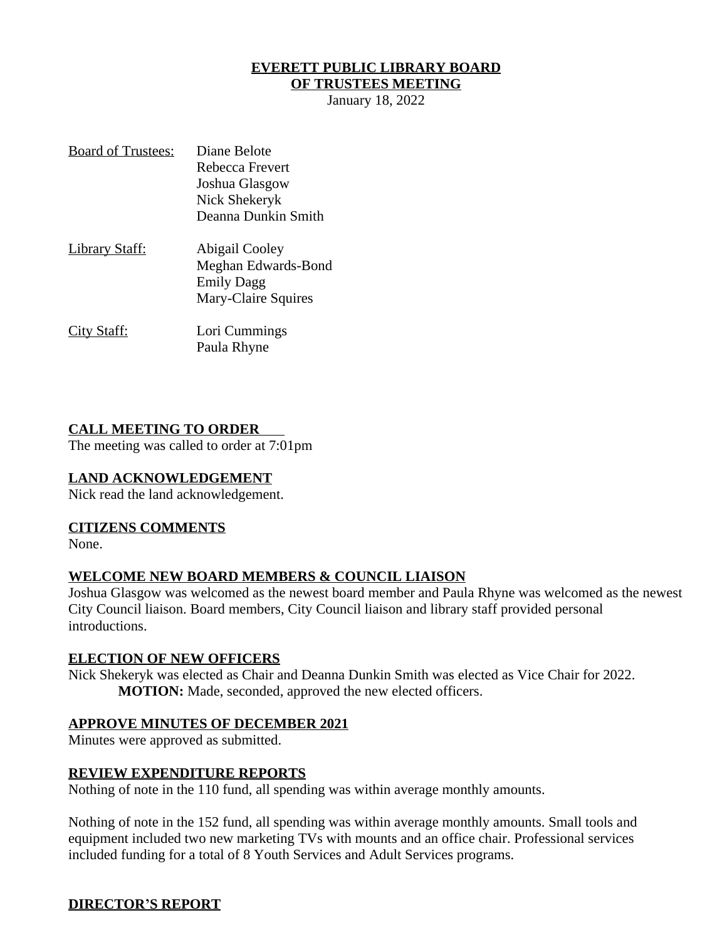# **EVERETT PUBLIC LIBRARY BOARD**

# **OF TRUSTEES MEETING**

January 18, 2022

| <b>Board of Trustees:</b> | Diane Belote        |
|---------------------------|---------------------|
|                           | Rebecca Frevert     |
|                           | Joshua Glasgow      |
|                           | Nick Shekeryk       |
|                           | Deanna Dunkin Smith |
| <u> Library Staff:</u>    | Abigail Cooley      |
|                           | Meghan Edwards-Bond |
|                           | <b>Emily Dagg</b>   |
|                           | Mary-Claire Squires |
| <u>City Staff:</u>        | Lori Cummings       |
|                           | Paula Rhyne         |

#### **CALL MEETING TO ORDER**

The meeting was called to order at 7:01pm

#### **LAND ACKNOWLEDGEMENT**

Nick read the land acknowledgement.

#### **CITIZENS COMMENTS**

None.

#### **WELCOME NEW BOARD MEMBERS & COUNCIL LIAISON**

Joshua Glasgow was welcomed as the newest board member and Paula Rhyne was welcomed as the newest City Council liaison. Board members, City Council liaison and library staff provided personal introductions.

#### **ELECTION OF NEW OFFICERS**

Nick Shekeryk was elected as Chair and Deanna Dunkin Smith was elected as Vice Chair for 2022. **MOTION:** Made, seconded, approved the new elected officers.

#### **APPROVE MINUTES OF DECEMBER 2021**

Minutes were approved as submitted.

#### **REVIEW EXPENDITURE REPORTS**

Nothing of note in the 110 fund, all spending was within average monthly amounts.

Nothing of note in the 152 fund, all spending was within average monthly amounts. Small tools and equipment included two new marketing TVs with mounts and an office chair. Professional services included funding for a total of 8 Youth Services and Adult Services programs.

### **DIRECTOR'S REPORT**